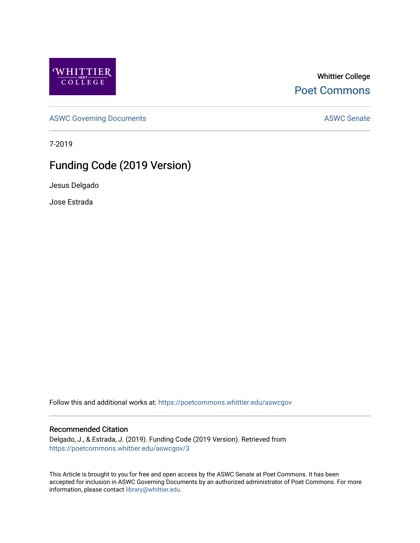

Whittier College [Poet Commons](https://poetcommons.whittier.edu/) 

[ASWC Governing Documents](https://poetcommons.whittier.edu/aswcgov) **ASWC Senate** 

7-2019

# Funding Code (2019 Version)

Jesus Delgado

Jose Estrada

Follow this and additional works at: [https://poetcommons.whittier.edu/aswcgov](https://poetcommons.whittier.edu/aswcgov?utm_source=poetcommons.whittier.edu%2Faswcgov%2F3&utm_medium=PDF&utm_campaign=PDFCoverPages) 

#### Recommended Citation

Delgado, J., & Estrada, J. (2019). Funding Code (2019 Version). Retrieved from [https://poetcommons.whittier.edu/aswcgov/3](https://poetcommons.whittier.edu/aswcgov/3?utm_source=poetcommons.whittier.edu%2Faswcgov%2F3&utm_medium=PDF&utm_campaign=PDFCoverPages) 

This Article is brought to you for free and open access by the ASWC Senate at Poet Commons. It has been accepted for inclusion in ASWC Governing Documents by an authorized administrator of Poet Commons. For more information, please contact [library@whittier.edu.](mailto:library@whittier.edu)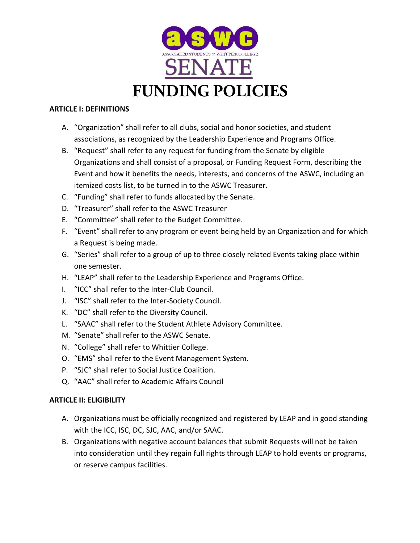

#### **ARTICLE I: DEFINITIONS**

- A. "Organization" shall refer to all clubs, social and honor societies, and student associations, as recognized by the Leadership Experience and Programs Office.
- B. "Request" shall refer to any request for funding from the Senate by eligible Organizations and shall consist of a proposal, or Funding Request Form, describing the Event and how it benefits the needs, interests, and concerns of the ASWC, including an itemized costs list, to be turned in to the ASWC Treasurer.
- C. "Funding" shall refer to funds allocated by the Senate.
- D. "Treasurer" shall refer to the ASWC Treasurer
- E. "Committee" shall refer to the Budget Committee.
- F. "Event" shall refer to any program or event being held by an Organization and for which a Request is being made.
- G. "Series" shall refer to a group of up to three closely related Events taking place within one semester.
- H. "LEAP" shall refer to the Leadership Experience and Programs Office.
- I. "ICC" shall refer to the Inter-Club Council.
- J. "ISC" shall refer to the Inter-Society Council.
- K. "DC" shall refer to the Diversity Council.
- L. "SAAC" shall refer to the Student Athlete Advisory Committee.
- M. "Senate" shall refer to the ASWC Senate.
- N. "College" shall refer to Whittier College.
- O. "EMS" shall refer to the Event Management System.
- P. "SJC" shall refer to Social Justice Coalition.
- Q. "AAC" shall refer to Academic Affairs Council

## **ARTICLE II: ELIGIBILITY**

- A. Organizations must be officially recognized and registered by LEAP and in good standing with the ICC, ISC, DC, SJC, AAC, and/or SAAC.
- B. Organizations with negative account balances that submit Requests will not be taken into consideration until they regain full rights through LEAP to hold events or programs, or reserve campus facilities.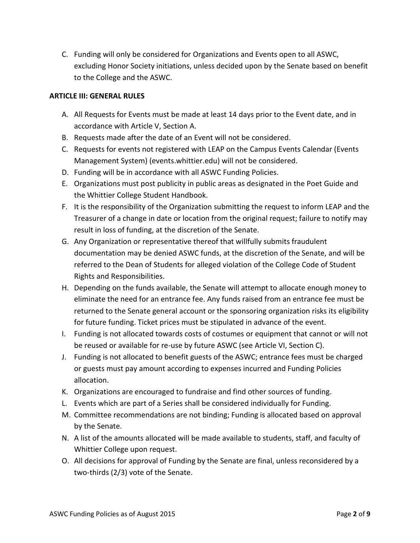C. Funding will only be considered for Organizations and Events open to all ASWC, excluding Honor Society initiations, unless decided upon by the Senate based on benefit to the College and the ASWC.

#### **ARTICLE III: GENERAL RULES**

- A. All Requests for Events must be made at least 14 days prior to the Event date, and in accordance with Article V, Section A.
- B. Requests made after the date of an Event will not be considered.
- C. Requests for events not registered with LEAP on the Campus Events Calendar (Events Management System) (events.whittier.edu) will not be considered.
- D. Funding will be in accordance with all ASWC Funding Policies.
- E. Organizations must post publicity in public areas as designated in the Poet Guide and the Whittier College Student Handbook.
- F. It is the responsibility of the Organization submitting the request to inform LEAP and the Treasurer of a change in date or location from the original request; failure to notify may result in loss of funding, at the discretion of the Senate.
- G. Any Organization or representative thereof that willfully submits fraudulent documentation may be denied ASWC funds, at the discretion of the Senate, and will be referred to the Dean of Students for alleged violation of the College Code of Student Rights and Responsibilities.
- H. Depending on the funds available, the Senate will attempt to allocate enough money to eliminate the need for an entrance fee. Any funds raised from an entrance fee must be returned to the Senate general account or the sponsoring organization risks its eligibility for future funding. Ticket prices must be stipulated in advance of the event.
- I. Funding is not allocated towards costs of costumes or equipment that cannot or will not be reused or available for re-use by future ASWC (see Article VI, Section C).
- J. Funding is not allocated to benefit guests of the ASWC; entrance fees must be charged or guests must pay amount according to expenses incurred and Funding Policies allocation.
- K. Organizations are encouraged to fundraise and find other sources of funding.
- L. Events which are part of a Series shall be considered individually for Funding.
- M. Committee recommendations are not binding; Funding is allocated based on approval by the Senate.
- N. A list of the amounts allocated will be made available to students, staff, and faculty of Whittier College upon request.
- O. All decisions for approval of Funding by the Senate are final, unless reconsidered by a two-thirds (2/3) vote of the Senate.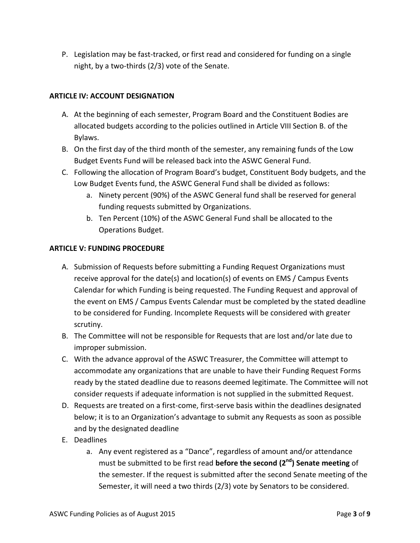P. Legislation may be fast-tracked, or first read and considered for funding on a single night, by a two-thirds (2/3) vote of the Senate.

# **ARTICLE IV: ACCOUNT DESIGNATION**

- A. At the beginning of each semester, Program Board and the Constituent Bodies are allocated budgets according to the policies outlined in Article VIII Section B. of the Bylaws.
- B. On the first day of the third month of the semester, any remaining funds of the Low Budget Events Fund will be released back into the ASWC General Fund.
- C. Following the allocation of Program Board's budget, Constituent Body budgets, and the Low Budget Events fund, the ASWC General Fund shall be divided as follows:
	- a. Ninety percent (90%) of the ASWC General fund shall be reserved for general funding requests submitted by Organizations.
	- b. Ten Percent (10%) of the ASWC General Fund shall be allocated to the Operations Budget.

## **ARTICLE V: FUNDING PROCEDURE**

- A. Submission of Requests before submitting a Funding Request Organizations must receive approval for the date(s) and location(s) of events on EMS / Campus Events Calendar for which Funding is being requested. The Funding Request and approval of the event on EMS / Campus Events Calendar must be completed by the stated deadline to be considered for Funding. Incomplete Requests will be considered with greater scrutiny.
- B. The Committee will not be responsible for Requests that are lost and/or late due to improper submission.
- C. With the advance approval of the ASWC Treasurer, the Committee will attempt to accommodate any organizations that are unable to have their Funding Request Forms ready by the stated deadline due to reasons deemed legitimate. The Committee will not consider requests if adequate information is not supplied in the submitted Request.
- D. Requests are treated on a first-come, first-serve basis within the deadlines designated below; it is to an Organization's advantage to submit any Requests as soon as possible and by the designated deadline
- E. Deadlines
	- a. Any event registered as a "Dance", regardless of amount and/or attendance must be submitted to be first read **before the second (2nd) Senate meeting** of the semester. If the request is submitted after the second Senate meeting of the Semester, it will need a two thirds (2/3) vote by Senators to be considered.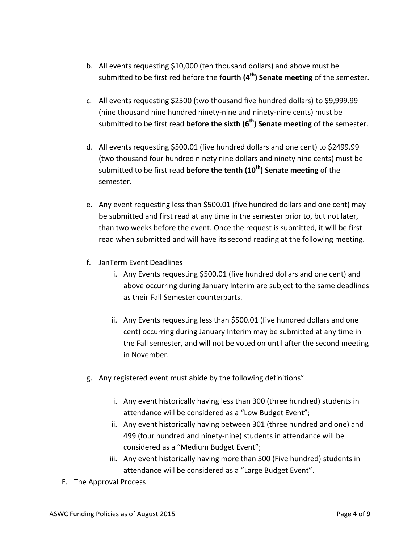- b. All events requesting \$10,000 (ten thousand dollars) and above must be submitted to be first red before the **fourth (4th) Senate meeting** of the semester.
- c. All events requesting \$2500 (two thousand five hundred dollars) to \$9,999.99 (nine thousand nine hundred ninety-nine and ninety-nine cents) must be submitted to be first read **before the sixth (6th) Senate meeting** of the semester.
- d. All events requesting \$500.01 (five hundred dollars and one cent) to \$2499.99 (two thousand four hundred ninety nine dollars and ninety nine cents) must be submitted to be first read **before the tenth (10th) Senate meeting** of the semester.
- e. Any event requesting less than \$500.01 (five hundred dollars and one cent) may be submitted and first read at any time in the semester prior to, but not later, than two weeks before the event. Once the request is submitted, it will be first read when submitted and will have its second reading at the following meeting.
- f. JanTerm Event Deadlines
	- i. Any Events requesting \$500.01 (five hundred dollars and one cent) and above occurring during January Interim are subject to the same deadlines as their Fall Semester counterparts.
	- ii. Any Events requesting less than \$500.01 (five hundred dollars and one cent) occurring during January Interim may be submitted at any time in the Fall semester, and will not be voted on until after the second meeting in November.
- g. Any registered event must abide by the following definitions"
	- i. Any event historically having less than 300 (three hundred) students in attendance will be considered as a "Low Budget Event";
	- ii. Any event historically having between 301 (three hundred and one) and 499 (four hundred and ninety-nine) students in attendance will be considered as a "Medium Budget Event";
	- iii. Any event historically having more than 500 (Five hundred) students in attendance will be considered as a "Large Budget Event".
- F. The Approval Process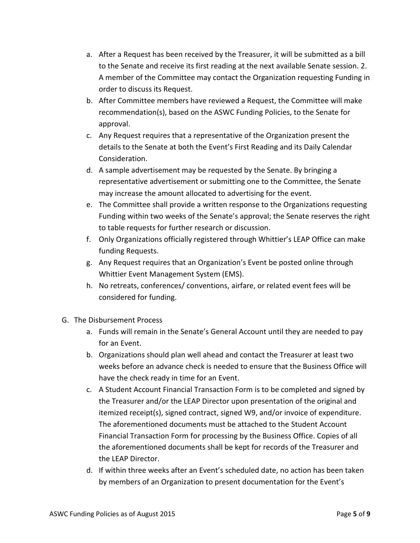- a. After a Request has been received by the Treasurer, it will be submitted as a bill to the Senate and receive its first reading at the next available Senate session. 2. A member of the Committee may contact the Organization requesting Funding in order to discuss its Request.
- b. After Committee members have reviewed a Request, the Committee will make recommendation(s), based on the ASWC Funding Policies, to the Senate for approval.
- c. Any Request requires that a representative of the Organization present the details to the Senate at both the Event's First Reading and its Daily Calendar Consideration.
- d. A sample advertisement may be requested by the Senate. By bringing a representative advertisement or submitting one to the Committee, the Senate may increase the amount allocated to advertising for the event.
- e. The Committee shall provide a written response to the Organizations requesting Funding within two weeks of the Senate's approval; the Senate reserves the right to table requests for further research or discussion.
- f. Only Organizations officially registered through Whittier's LEAP Office can make funding Requests.
- g. Any Request requires that an Organization's Event be posted online through Whittier Event Management System (EMS).
- h. No retreats, conferences/ conventions, airfare, or related event fees will be considered for funding.
- G. The Disbursement Process
	- a. Funds will remain in the Senate's General Account until they are needed to pay for an Event.
	- b. Organizations should plan well ahead and contact the Treasurer at least two weeks before an advance check is needed to ensure that the Business Office will have the check ready in time for an Event.
	- c. A Student Account Financial Transaction Form is to be completed and signed by the Treasurer and/or the LEAP Director upon presentation of the original and itemized receipt(s), signed contract, signed W9, and/or invoice of expenditure. The aforementioned documents must be attached to the Student Account Financial Transaction Form for processing by the Business Office. Copies of all the aforementioned documents shall be kept for records of the Treasurer and the LEAP Director.
	- d. If within three weeks after an Event's scheduled date, no action has been taken by members of an Organization to present documentation for the Event's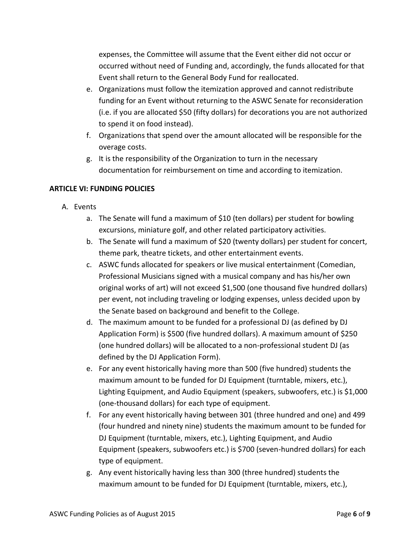expenses, the Committee will assume that the Event either did not occur or occurred without need of Funding and, accordingly, the funds allocated for that Event shall return to the General Body Fund for reallocated.

- e. Organizations must follow the itemization approved and cannot redistribute funding for an Event without returning to the ASWC Senate for reconsideration (i.e. if you are allocated \$50 (fifty dollars) for decorations you are not authorized to spend it on food instead).
- f. Organizations that spend over the amount allocated will be responsible for the overage costs.
- g. It is the responsibility of the Organization to turn in the necessary documentation for reimbursement on time and according to itemization.

## **ARTICLE VI: FUNDING POLICIES**

- A. Events
	- a. The Senate will fund a maximum of \$10 (ten dollars) per student for bowling excursions, miniature golf, and other related participatory activities.
	- b. The Senate will fund a maximum of \$20 (twenty dollars) per student for concert, theme park, theatre tickets, and other entertainment events.
	- c. ASWC funds allocated for speakers or live musical entertainment (Comedian, Professional Musicians signed with a musical company and has his/her own original works of art) will not exceed \$1,500 (one thousand five hundred dollars) per event, not including traveling or lodging expenses, unless decided upon by the Senate based on background and benefit to the College.
	- d. The maximum amount to be funded for a professional DJ (as defined by DJ Application Form) is \$500 (five hundred dollars). A maximum amount of \$250 (one hundred dollars) will be allocated to a non-professional student DJ (as defined by the DJ Application Form).
	- e. For any event historically having more than 500 (five hundred) students the maximum amount to be funded for DJ Equipment (turntable, mixers, etc.), Lighting Equipment, and Audio Equipment (speakers, subwoofers, etc.) is \$1,000 (one-thousand dollars) for each type of equipment.
	- f. For any event historically having between 301 (three hundred and one) and 499 (four hundred and ninety nine) students the maximum amount to be funded for DJ Equipment (turntable, mixers, etc.), Lighting Equipment, and Audio Equipment (speakers, subwoofers etc.) is \$700 (seven-hundred dollars) for each type of equipment.
	- g. Any event historically having less than 300 (three hundred) students the maximum amount to be funded for DJ Equipment (turntable, mixers, etc.),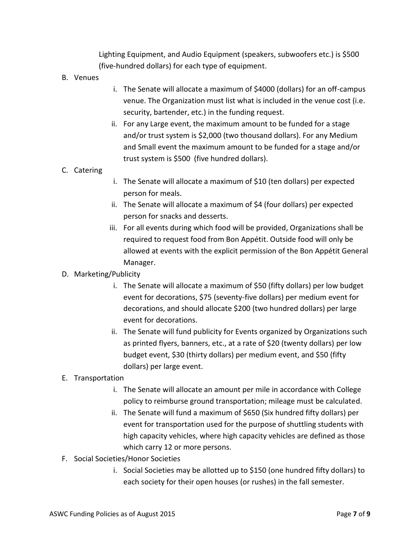Lighting Equipment, and Audio Equipment (speakers, subwoofers etc.) is \$500 (five-hundred dollars) for each type of equipment.

- B. Venues
- i. The Senate will allocate a maximum of \$4000 (dollars) for an off-campus venue. The Organization must list what is included in the venue cost (i.e. security, bartender, etc.) in the funding request.
- ii. For any Large event, the maximum amount to be funded for a stage and/or trust system is \$2,000 (two thousand dollars). For any Medium and Small event the maximum amount to be funded for a stage and/or trust system is \$500 (five hundred dollars).

#### C. Catering

- i. The Senate will allocate a maximum of \$10 (ten dollars) per expected person for meals.
- ii. The Senate will allocate a maximum of \$4 (four dollars) per expected person for snacks and desserts.
- iii. For all events during which food will be provided, Organizations shall be required to request food from Bon Appétit. Outside food will only be allowed at events with the explicit permission of the Bon Appétit General Manager.

## D. Marketing/Publicity

- i. The Senate will allocate a maximum of \$50 (fifty dollars) per low budget event for decorations, \$75 (seventy-five dollars) per medium event for decorations, and should allocate \$200 (two hundred dollars) per large event for decorations.
- ii. The Senate will fund publicity for Events organized by Organizations such as printed flyers, banners, etc., at a rate of \$20 (twenty dollars) per low budget event, \$30 (thirty dollars) per medium event, and \$50 (fifty dollars) per large event.

## E. Transportation

- i. The Senate will allocate an amount per mile in accordance with College policy to reimburse ground transportation; mileage must be calculated.
- ii. The Senate will fund a maximum of \$650 (Six hundred fifty dollars) per event for transportation used for the purpose of shuttling students with high capacity vehicles, where high capacity vehicles are defined as those which carry 12 or more persons.
- F. Social Societies/Honor Societies
	- i. Social Societies may be allotted up to \$150 (one hundred fifty dollars) to each society for their open houses (or rushes) in the fall semester.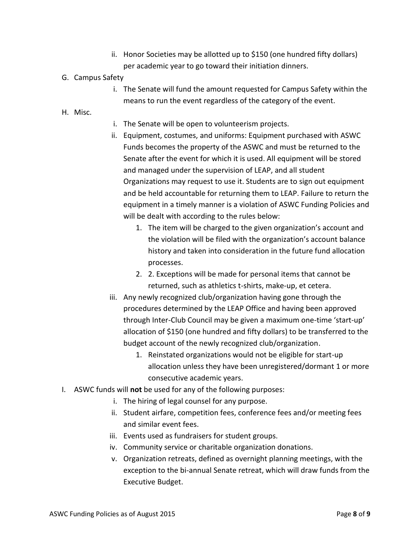- ii. Honor Societies may be allotted up to \$150 (one hundred fifty dollars) per academic year to go toward their initiation dinners.
- G. Campus Safety
	- i. The Senate will fund the amount requested for Campus Safety within the means to run the event regardless of the category of the event.
- H. Misc.
- i. The Senate will be open to volunteerism projects.
- ii. Equipment, costumes, and uniforms: Equipment purchased with ASWC Funds becomes the property of the ASWC and must be returned to the Senate after the event for which it is used. All equipment will be stored and managed under the supervision of LEAP, and all student Organizations may request to use it. Students are to sign out equipment and be held accountable for returning them to LEAP. Failure to return the equipment in a timely manner is a violation of ASWC Funding Policies and will be dealt with according to the rules below:
	- 1. The item will be charged to the given organization's account and the violation will be filed with the organization's account balance history and taken into consideration in the future fund allocation processes.
	- 2. 2. Exceptions will be made for personal items that cannot be returned, such as athletics t-shirts, make-up, et cetera.
- iii. Any newly recognized club/organization having gone through the procedures determined by the LEAP Office and having been approved through Inter-Club Council may be given a maximum one-time 'start-up' allocation of \$150 (one hundred and fifty dollars) to be transferred to the budget account of the newly recognized club/organization.
	- 1. Reinstated organizations would not be eligible for start-up allocation unless they have been unregistered/dormant 1 or more consecutive academic years.
- I. ASWC funds will **not** be used for any of the following purposes:
	- i. The hiring of legal counsel for any purpose.
	- ii. Student airfare, competition fees, conference fees and/or meeting fees and similar event fees.
	- iii. Events used as fundraisers for student groups.
	- iv. Community service or charitable organization donations.
	- v. Organization retreats, defined as overnight planning meetings, with the exception to the bi-annual Senate retreat, which will draw funds from the Executive Budget.